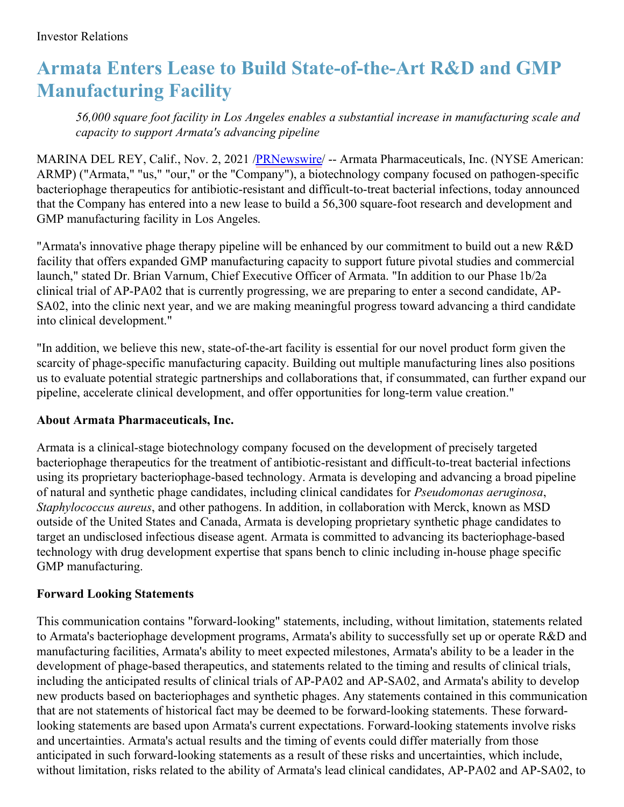## **Armata Enters Lease to Build State-of-the-Art R&D and GMP Manufacturing Facility**

*56,000 square foot facility in Los Angeles enables a substantial increase in manufacturing scale and capacity to support Armata's advancing pipeline*

MARINA DEL REY, Calif., Nov. 2, 2021 [/PRNewswire](http://www.prnewswire.com/)/ -- Armata Pharmaceuticals, Inc. (NYSE American: ARMP) ("Armata," "us," "our," or the "Company"), a biotechnology company focused on pathogen-specific bacteriophage therapeutics for antibiotic-resistant and difficult-to-treat bacterial infections, today announced that the Company has entered into a new lease to build a 56,300 square-foot research and development and GMP manufacturing facility in Los Angeles.

"Armata's innovative phage therapy pipeline will be enhanced by our commitment to build out a new R&D facility that offers expanded GMP manufacturing capacity to support future pivotal studies and commercial launch," stated Dr. Brian Varnum, Chief Executive Officer of Armata. "In addition to our Phase 1b/2a clinical trial of AP-PA02 that is currently progressing, we are preparing to enter a second candidate, AP-SA02, into the clinic next year, and we are making meaningful progress toward advancing a third candidate into clinical development."

"In addition, we believe this new, state-of-the-art facility is essential for our novel product form given the scarcity of phage-specific manufacturing capacity. Building out multiple manufacturing lines also positions us to evaluate potential strategic partnerships and collaborations that, if consummated, can further expand our pipeline, accelerate clinical development, and offer opportunities for long-term value creation."

## **About Armata Pharmaceuticals, Inc.**

Armata is a clinical-stage biotechnology company focused on the development of precisely targeted bacteriophage therapeutics for the treatment of antibiotic-resistant and difficult-to-treat bacterial infections using its proprietary bacteriophage-based technology. Armata is developing and advancing a broad pipeline of natural and synthetic phage candidates, including clinical candidates for *Pseudomonas aeruginosa*, *Staphylococcus aureus*, and other pathogens. In addition, in collaboration with Merck, known as MSD outside of the United States and Canada, Armata is developing proprietary synthetic phage candidates to target an undisclosed infectious disease agent. Armata is committed to advancing its bacteriophage-based technology with drug development expertise that spans bench to clinic including in-house phage specific GMP manufacturing.

## **Forward Looking Statements**

This communication contains "forward-looking" statements, including, without limitation, statements related to Armata's bacteriophage development programs, Armata's ability to successfully set up or operate R&D and manufacturing facilities, Armata's ability to meet expected milestones, Armata's ability to be a leader in the development of phage-based therapeutics, and statements related to the timing and results of clinical trials, including the anticipated results of clinical trials of AP-PA02 and AP-SA02, and Armata's ability to develop new products based on bacteriophages and synthetic phages. Any statements contained in this communication that are not statements of historical fact may be deemed to be forward-looking statements. These forwardlooking statements are based upon Armata's current expectations. Forward-looking statements involve risks and uncertainties. Armata's actual results and the timing of events could differ materially from those anticipated in such forward-looking statements as a result of these risks and uncertainties, which include, without limitation, risks related to the ability of Armata's lead clinical candidates, AP-PA02 and AP-SA02, to